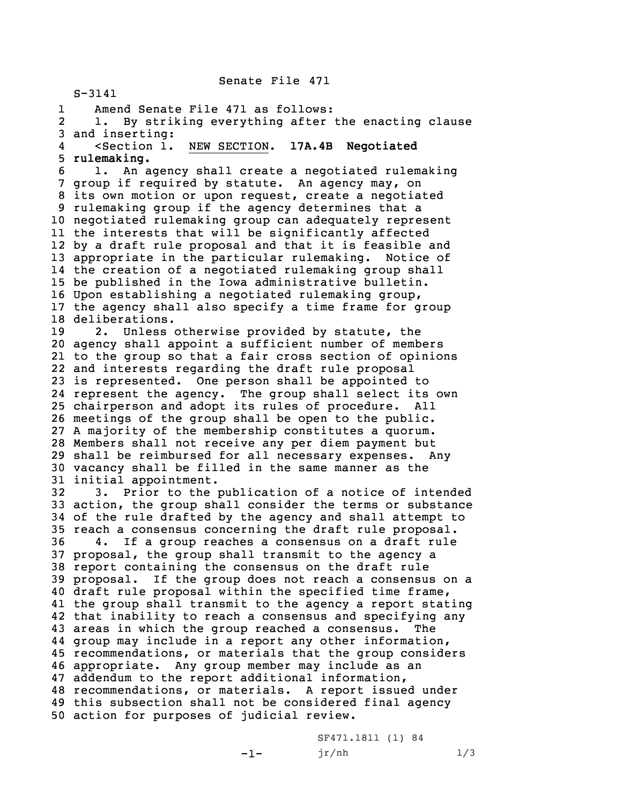Senate File 471

S-3141 1 Amend Senate File 471 as follows: 2 1. By striking everything after the enacting clause and inserting: 4 <Section 1. NEW SECTION. **17A.4B Negotiated rulemaking.** 1. An agency shall create <sup>a</sup> negotiated rulemaking group if required by statute. An agency may, on its own motion or upon request, create <sup>a</sup> negotiated rulemaking group if the agency determines that <sup>a</sup> negotiated rulemaking group can adequately represent the interests that will be significantly affected by <sup>a</sup> draft rule proposal and that it is feasible and appropriate in the particular rulemaking. Notice of the creation of <sup>a</sup> negotiated rulemaking group shall be published in the Iowa administrative bulletin. Upon establishing <sup>a</sup> negotiated rulemaking group, the agency shall also specify <sup>a</sup> time frame for group deliberations. 2. Unless otherwise provided by statute, the agency shall appoint <sup>a</sup> sufficient number of members to the group so that <sup>a</sup> fair cross section of opinions and interests regarding the draft rule proposal is represented. One person shall be appointed to represent the agency. The group shall select its own chairperson and adopt its rules of procedure. All meetings of the group shall be open to the public. <sup>A</sup> majority of the membership constitutes <sup>a</sup> quorum. Members shall not receive any per diem payment but shall be reimbursed for all necessary expenses. Any vacancy shall be filled in the same manner as the initial appointment. 3. Prior to the publication of <sup>a</sup> notice of intended action, the group shall consider the terms or substance of the rule drafted by the agency and shall attempt to reach <sup>a</sup> consensus concerning the draft rule proposal. 4. If <sup>a</sup> group reaches <sup>a</sup> consensus on <sup>a</sup> draft rule proposal, the group shall transmit to the agency <sup>a</sup> report containing the consensus on the draft rule proposal. If the group does not reach <sup>a</sup> consensus on <sup>a</sup> draft rule proposal within the specified time frame, the group shall transmit to the agency <sup>a</sup> report stating that inability to reach <sup>a</sup> consensus and specifying any areas in which the group reached <sup>a</sup> consensus. The group may include in <sup>a</sup> report any other information, recommendations, or materials that the group considers appropriate. Any group member may include as an addendum to the report additional information, recommendations, or materials. <sup>A</sup> report issued under this subsection shall not be considered final agency action for purposes of judicial review.

SF471.1811 (1) 84  $jr/nh$  1/3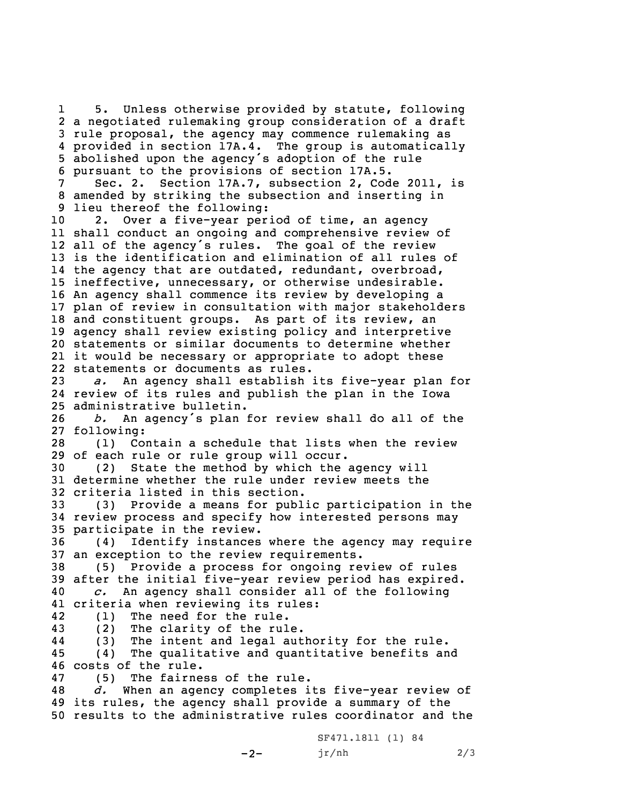1 5. Unless otherwise provided by statute, following <sup>a</sup> negotiated rulemaking group consideration of <sup>a</sup> draft rule proposal, the agency may commence rulemaking as provided in section 17A.4. The group is automatically abolished upon the agency's adoption of the rule pursuant to the provisions of section 17A.5. Sec. 2. Section 17A.7, subsection 2, Code 2011, is amended by striking the subsection and inserting in lieu thereof the following: 2. Over <sup>a</sup> five-year period of time, an agency shall conduct an ongoing and comprehensive review of all of the agency's rules. The goal of the review is the identification and elimination of all rules of the agency that are outdated, redundant, overbroad, ineffective, unnecessary, or otherwise undesirable. An agency shall commence its review by developing <sup>a</sup> plan of review in consultation with major stakeholders and constituent groups. As part of its review, an agency shall review existing policy and interpretive statements or similar documents to determine whether it would be necessary or appropriate to adopt these statements or documents as rules. *a.* An agency shall establish its five-year plan for review of its rules and publish the plan in the Iowa administrative bulletin. *b.* An agency's plan for review shall do all of the following: (1) Contain <sup>a</sup> schedule that lists when the review of each rule or rule group will occur. (2) State the method by which the agency will determine whether the rule under review meets the criteria listed in this section. (3) Provide <sup>a</sup> means for public participation in the review process and specify how interested persons may participate in the review. (4) Identify instances where the agency may require an exception to the review requirements. (5) Provide <sup>a</sup> process for ongoing review of rules after the initial five-year review period has expired. *c.* An agency shall consider all of the following criteria when reviewing its rules: 42 (1) The need for the rule. (2) The clarity of the rule. 44 (3) The intent and legal authority for the rule. (4) The qualitative and quantitative benefits and costs of the rule. (5) The fairness of the rule. *d.* When an agency completes its five-year review of its rules, the agency shall provide <sup>a</sup> summary of the results to the administrative rules coordinator and the

 $-2-$ 

SF471.1811 (1) 84 jr/nh 2/3